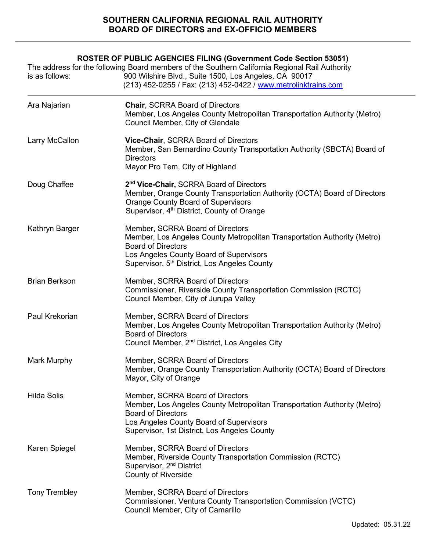# **SOUTHERN CALIFORNIA REGIONAL RAIL AUTHORITY BOARD OF DIRECTORS and EX-OFFICIO MEMBERS**

| is as follows:       | <b>ROSTER OF PUBLIC AGENCIES FILING (Government Code Section 53051)</b><br>The address for the following Board members of the Southern California Regional Rail Authority<br>900 Wilshire Blvd., Suite 1500, Los Angeles, CA 90017<br>(213) 452-0255 / Fax: (213) 452-0422 / www.metrolinktrains.com |
|----------------------|------------------------------------------------------------------------------------------------------------------------------------------------------------------------------------------------------------------------------------------------------------------------------------------------------|
| Ara Najarian         | <b>Chair, SCRRA Board of Directors</b><br>Member, Los Angeles County Metropolitan Transportation Authority (Metro)<br>Council Member, City of Glendale                                                                                                                                               |
| Larry McCallon       | Vice-Chair, SCRRA Board of Directors<br>Member, San Bernardino County Transportation Authority (SBCTA) Board of<br><b>Directors</b><br>Mayor Pro Tem, City of Highland                                                                                                                               |
| Doug Chaffee         | 2 <sup>nd</sup> Vice-Chair, SCRRA Board of Directors<br>Member, Orange County Transportation Authority (OCTA) Board of Directors<br><b>Orange County Board of Supervisors</b><br>Supervisor, 4 <sup>th</sup> District, County of Orange                                                              |
| Kathryn Barger       | Member, SCRRA Board of Directors<br>Member, Los Angeles County Metropolitan Transportation Authority (Metro)<br><b>Board of Directors</b><br>Los Angeles County Board of Supervisors<br>Supervisor, 5 <sup>th</sup> District, Los Angeles County                                                     |
| <b>Brian Berkson</b> | Member, SCRRA Board of Directors<br>Commissioner, Riverside County Transportation Commission (RCTC)<br>Council Member, City of Jurupa Valley                                                                                                                                                         |
| Paul Krekorian       | Member, SCRRA Board of Directors<br>Member, Los Angeles County Metropolitan Transportation Authority (Metro)<br><b>Board of Directors</b><br>Council Member, 2 <sup>nd</sup> District, Los Angeles City                                                                                              |
| Mark Murphy          | Member, SCRRA Board of Directors<br>Member, Orange County Transportation Authority (OCTA) Board of Directors<br>Mayor, City of Orange                                                                                                                                                                |
| <b>Hilda Solis</b>   | Member, SCRRA Board of Directors<br>Member, Los Angeles County Metropolitan Transportation Authority (Metro)<br><b>Board of Directors</b><br>Los Angeles County Board of Supervisors<br>Supervisor, 1st District, Los Angeles County                                                                 |
| Karen Spiegel        | Member, SCRRA Board of Directors<br>Member, Riverside County Transportation Commission (RCTC)<br>Supervisor, 2 <sup>nd</sup> District<br><b>County of Riverside</b>                                                                                                                                  |
| <b>Tony Trembley</b> | Member, SCRRA Board of Directors<br>Commissioner, Ventura County Transportation Commission (VCTC)<br>Council Member, City of Camarillo                                                                                                                                                               |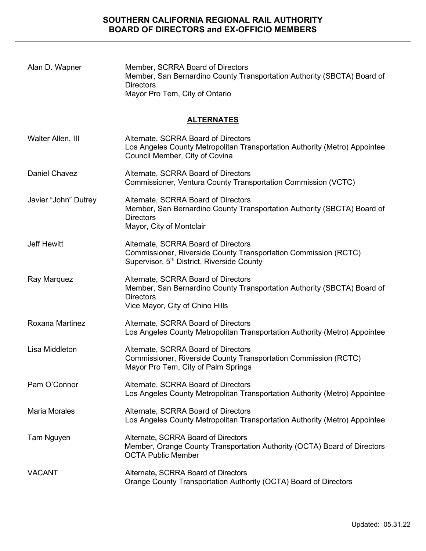| Alan D. Wapner       | Member, SCRRA Board of Directors<br>Member, San Bernardino County Transportation Authority (SBCTA) Board of<br><b>Directors</b><br>Mayor Pro Tem, City of Ontario     |  |  |
|----------------------|-----------------------------------------------------------------------------------------------------------------------------------------------------------------------|--|--|
| <u>ALTERNATES</u>    |                                                                                                                                                                       |  |  |
| Walter Allen, III    | Alternate, SCRRA Board of Directors<br>Los Angeles County Metropolitan Transportation Authority (Metro) Appointee<br>Council Member, City of Covina                   |  |  |
| <b>Daniel Chavez</b> | Alternate, SCRRA Board of Directors<br>Commissioner, Ventura County Transportation Commission (VCTC)                                                                  |  |  |
| Javier "John" Dutrey | Alternate, SCRRA Board of Directors<br>Member, San Bernardino County Transportation Authority (SBCTA) Board of<br><b>Directors</b><br>Mayor, City of Montclair        |  |  |
| <b>Jeff Hewitt</b>   | Alternate, SCRRA Board of Directors<br>Commissioner, Riverside County Transportation Commission (RCTC)<br>Supervisor, 5 <sup>th</sup> District, Riverside County      |  |  |
| Ray Marquez          | Alternate, SCRRA Board of Directors<br>Member, San Bernardino County Transportation Authority (SBCTA) Board of<br><b>Directors</b><br>Vice Mayor, City of Chino Hills |  |  |
| Roxana Martinez      | Alternate, SCRRA Board of Directors<br>Los Angeles County Metropolitan Transportation Authority (Metro) Appointee                                                     |  |  |
| Lisa Middleton       | Alternate, SCRRA Board of Directors<br>Commissioner, Riverside County Transportation Commission (RCTC)<br>Mayor Pro Tem, City of Palm Springs                         |  |  |
| Pam O'Connor         | Alternate, SCRRA Board of Directors<br>Los Angeles County Metropolitan Transportation Authority (Metro) Appointee                                                     |  |  |
| <b>Maria Morales</b> | Alternate, SCRRA Board of Directors<br>Los Angeles County Metropolitan Transportation Authority (Metro) Appointee                                                     |  |  |
| Tam Nguyen           | Alternate, SCRRA Board of Directors<br>Member, Orange County Transportation Authority (OCTA) Board of Directors<br><b>OCTA Public Member</b>                          |  |  |
| <b>VACANT</b>        | Alternate, SCRRA Board of Directors<br>Orange County Transportation Authority (OCTA) Board of Directors                                                               |  |  |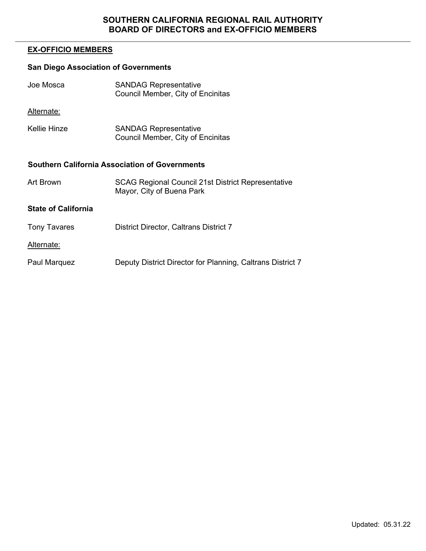## **EX-OFFICIO MEMBERS**

# **San Diego Association of Governments**

| Joe Mosca  | <b>SANDAG Representative</b>      |
|------------|-----------------------------------|
|            | Council Member, City of Encinitas |
| Alternate: |                                   |

Kellie Hinze SANDAG Representative Council Member, City of Encinitas

#### **Southern California Association of Governments**

| Art Brown           | <b>SCAG Regional Council 21st District Representative</b><br>Mayor, City of Buena Park |
|---------------------|----------------------------------------------------------------------------------------|
| State of California |                                                                                        |
| Tony Tavares        | <b>District Director, Caltrans District 7</b>                                          |

Alternate:

Paul Marquez Deputy District Director for Planning, Caltrans District 7